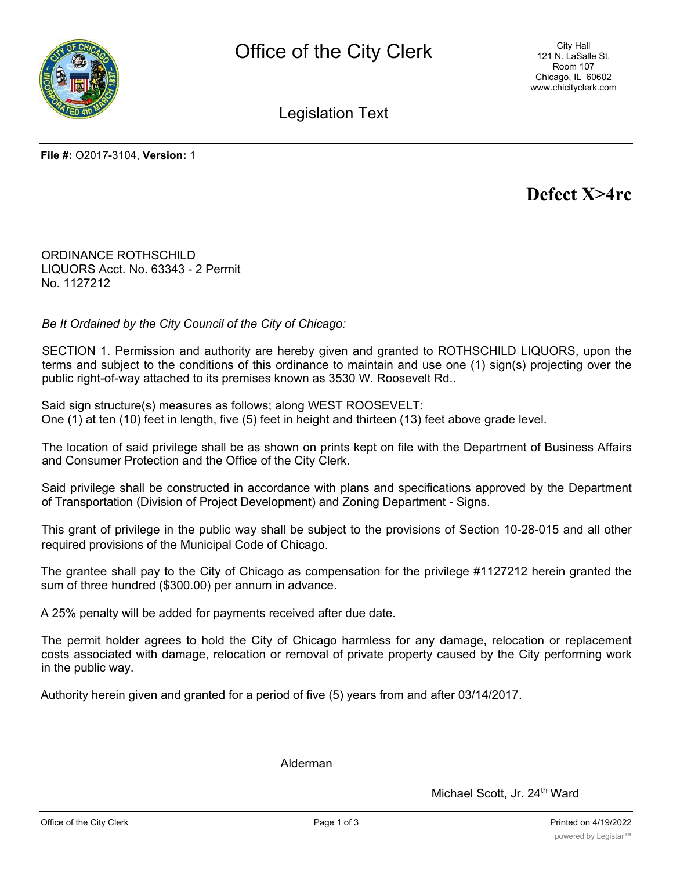

City Hall 121 N. LaSalle St. Room 107 Chicago, IL 60602 www.chicityclerk.com

Legislation Text

**File #:** O2017-3104, **Version:** 1

# **Defect X>4rc**

ORDINANCE ROTHSCHILD LIQUORS Acct. No. 63343 - 2 Permit No. 1127212

*Be It Ordained by the City Council of the City of Chicago:*

SECTION 1. Permission and authority are hereby given and granted to ROTHSCHILD LIQUORS, upon the terms and subject to the conditions of this ordinance to maintain and use one (1) sign(s) projecting over the public right-of-way attached to its premises known as 3530 W. Roosevelt Rd..

Said sign structure(s) measures as follows; along WEST ROOSEVELT: One (1) at ten (10) feet in length, five (5) feet in height and thirteen (13) feet above grade level.

The location of said privilege shall be as shown on prints kept on file with the Department of Business Affairs and Consumer Protection and the Office of the City Clerk.

Said privilege shall be constructed in accordance with plans and specifications approved by the Department of Transportation (Division of Project Development) and Zoning Department - Signs.

This grant of privilege in the public way shall be subject to the provisions of Section 10-28-015 and all other required provisions of the Municipal Code of Chicago.

The grantee shall pay to the City of Chicago as compensation for the privilege #1127212 herein granted the sum of three hundred (\$300.00) per annum in advance.

A 25% penalty will be added for payments received after due date.

The permit holder agrees to hold the City of Chicago harmless for any damage, relocation or replacement costs associated with damage, relocation or removal of private property caused by the City performing work in the public way.

Authority herein given and granted for a period of five (5) years from and after 03/14/2017.

Alderman

Michael Scott, Jr. 24<sup>th</sup> Ward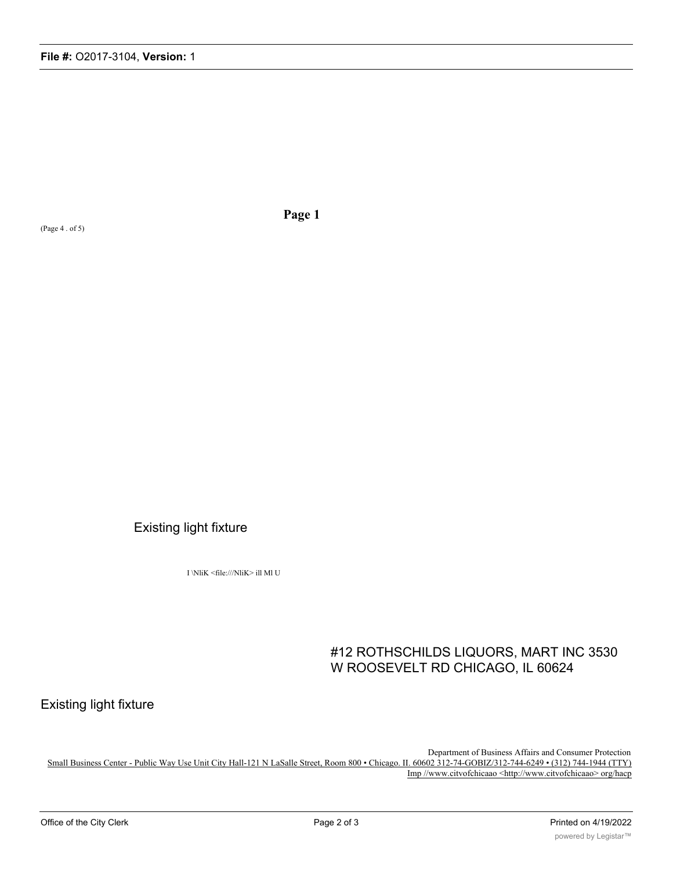(Page 4 . of 5)

**Page 1**

### Existing light fixture

I \NliK <file:///NliK> ill Ml U

## #12 ROTHSCHILDS LIQUORS, MART INC 3530 W ROOSEVELT RD CHICAGO, IL 60624

Existing light fixture

Department of Business Affairs and Consumer Protection

Small Business Center - Public Way Use Unit City Hall-121 N LaSalle Street, Room 800 • Chicago. II. 60602 312-74-GOBIZ/312-744-6249 • (312) 744-1944 (TTY) Imp //www.citvofchicaao <http://www.citvofchicaao> org/hacp